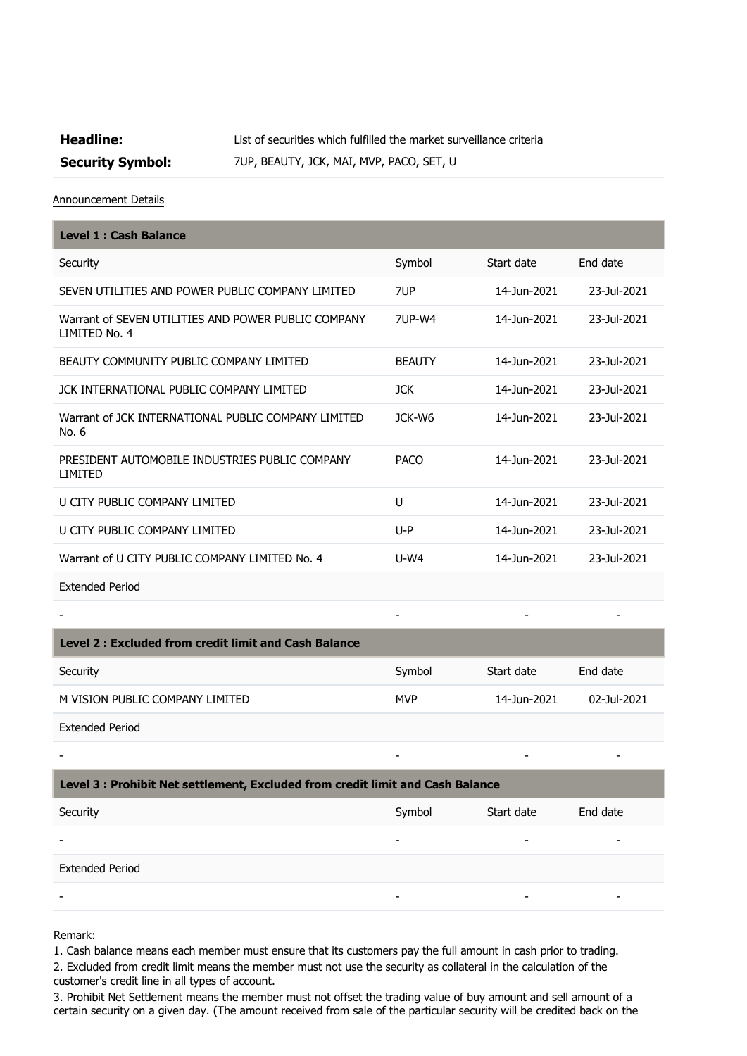## **Headline:** List of securities which fulfilled the market surveillance criteria

**Security Symbol:** 7UP, BEAUTY, JCK, MAI, MVP, PACO, SET, U

Announcement Details

| <b>Level 1: Cash Balance</b>                                         |               |             |             |
|----------------------------------------------------------------------|---------------|-------------|-------------|
| Security                                                             | Symbol        | Start date  | End date    |
| SEVEN UTILITIES AND POWER PUBLIC COMPANY LIMITED                     | 7UP           | 14-Jun-2021 | 23-Jul-2021 |
| Warrant of SEVEN UTILITIES AND POWER PUBLIC COMPANY<br>LIMITED No. 4 | 71JP-W4       | 14-Jun-2021 | 23-Jul-2021 |
| BEAUTY COMMUNITY PUBLIC COMPANY LIMITED                              | <b>BEAUTY</b> | 14-Jun-2021 | 23-Jul-2021 |
| JCK INTERNATIONAL PUBLIC COMPANY LIMITED                             | <b>JCK</b>    | 14-Jun-2021 | 23-Jul-2021 |
| Warrant of JCK INTERNATIONAL PUBLIC COMPANY LIMITED<br>No. 6         | JCK-W6        | 14-Jun-2021 | 23-Jul-2021 |
| PRESIDENT AUTOMOBILE INDUSTRIES PUBLIC COMPANY<br>LIMITED            | <b>PACO</b>   | 14-Jun-2021 | 23-Jul-2021 |
| U CITY PUBLIC COMPANY LIMITED                                        | U             | 14-Jun-2021 | 23-Jul-2021 |
| U CITY PUBLIC COMPANY LIMITED                                        | $U-P$         | 14-Jun-2021 | 23-Jul-2021 |
| Warrant of U CITY PUBLIC COMPANY LIMITED No. 4                       | $U-W4$        | 14-Jun-2021 | 23-Jul-2021 |
| <b>Extended Period</b>                                               |               |             |             |

| Level 2 : Excluded from credit limit and Cash Balance |            |             |             |
|-------------------------------------------------------|------------|-------------|-------------|
| Security                                              | Symbol     | Start date  | End date    |
| M VISION PUBLIC COMPANY LIMITED                       | <b>MVP</b> | 14-Jun-2021 | 02-Jul-2021 |
| <b>Extended Period</b>                                |            |             |             |

- - - -

- - - -

## **Level 3 : Prohibit Net settlement, Excluded from credit limit and Cash Balance**

| Security               | Symbol | Start date | End date |
|------------------------|--------|------------|----------|
|                        |        |            |          |
| <b>Extended Period</b> |        |            |          |
|                        | -      |            |          |

Remark:

1. Cash balance means each member must ensure that its customers pay the full amount in cash prior to trading.

2. Excluded from credit limit means the member must not use the security as collateral in the calculation of the customer's credit line in all types of account.

3. Prohibit Net Settlement means the member must not offset the trading value of buy amount and sell amount of a certain security on a given day. (The amount received from sale of the particular security will be credited back on the